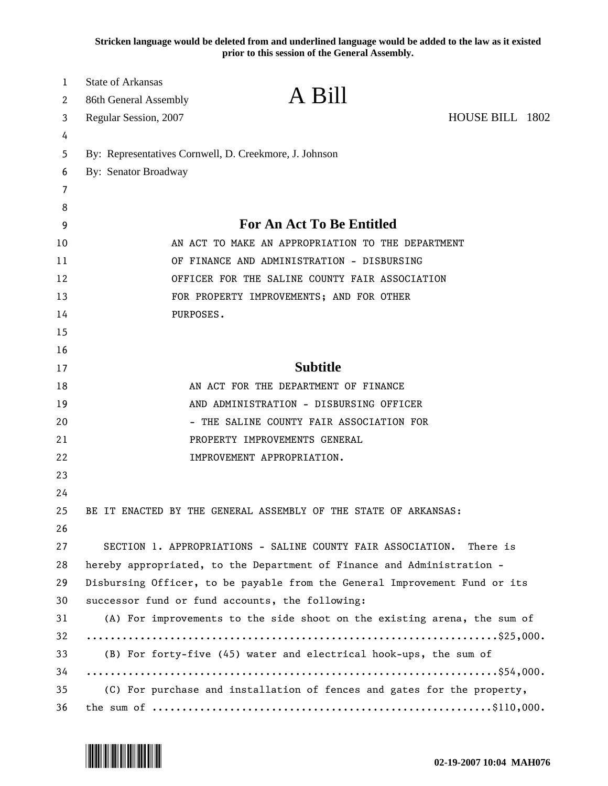**Stricken language would be deleted from and underlined language would be added to the law as it existed prior to this session of the General Assembly.**

| $\mathbf{1}$ | <b>State of Arkansas</b>                               |                                                                            |                 |  |
|--------------|--------------------------------------------------------|----------------------------------------------------------------------------|-----------------|--|
| 2            | 86th General Assembly                                  | A Bill                                                                     |                 |  |
| 3            | Regular Session, 2007                                  |                                                                            | HOUSE BILL 1802 |  |
| 4            |                                                        |                                                                            |                 |  |
| 5            | By: Representatives Cornwell, D. Creekmore, J. Johnson |                                                                            |                 |  |
| 6            | By: Senator Broadway                                   |                                                                            |                 |  |
| 7            |                                                        |                                                                            |                 |  |
| 8            |                                                        |                                                                            |                 |  |
| 9            |                                                        | <b>For An Act To Be Entitled</b>                                           |                 |  |
| 10           |                                                        | AN ACT TO MAKE AN APPROPRIATION TO THE DEPARTMENT                          |                 |  |
| 11           |                                                        | OF FINANCE AND ADMINISTRATION - DISBURSING                                 |                 |  |
| 12           |                                                        | OFFICER FOR THE SALINE COUNTY FAIR ASSOCIATION                             |                 |  |
| 13           |                                                        | FOR PROPERTY IMPROVEMENTS; AND FOR OTHER                                   |                 |  |
| 14           | PURPOSES.                                              |                                                                            |                 |  |
| 15           |                                                        |                                                                            |                 |  |
| 16           |                                                        |                                                                            |                 |  |
| 17           |                                                        | <b>Subtitle</b>                                                            |                 |  |
| 18           |                                                        | AN ACT FOR THE DEPARTMENT OF FINANCE                                       |                 |  |
| 19           |                                                        | AND ADMINISTRATION - DISBURSING OFFICER                                    |                 |  |
| 20           |                                                        | - THE SALINE COUNTY FAIR ASSOCIATION FOR                                   |                 |  |
| 21           |                                                        | PROPERTY IMPROVEMENTS GENERAL                                              |                 |  |
| 22           |                                                        | IMPROVEMENT APPROPRIATION.                                                 |                 |  |
| 23           |                                                        |                                                                            |                 |  |
| 24           |                                                        |                                                                            |                 |  |
| 25           |                                                        | BE IT ENACTED BY THE GENERAL ASSEMBLY OF THE STATE OF ARKANSAS:            |                 |  |
| 26           |                                                        |                                                                            |                 |  |
| 27           |                                                        | SECTION 1. APPROPRIATIONS - SALINE COUNTY FAIR ASSOCIATION.                | There is        |  |
| 28           |                                                        | hereby appropriated, to the Department of Finance and Administration -     |                 |  |
| 29           |                                                        | Disbursing Officer, to be payable from the General Improvement Fund or its |                 |  |
| 30           |                                                        | successor fund or fund accounts, the following:                            |                 |  |
| 31           |                                                        | (A) For improvements to the side shoot on the existing arena, the sum of   |                 |  |
| 32           |                                                        |                                                                            |                 |  |
| 33           |                                                        | (B) For forty-five (45) water and electrical hook-ups, the sum of          |                 |  |
| 34           |                                                        |                                                                            |                 |  |
| 35           |                                                        | (C) For purchase and installation of fences and gates for the property,    |                 |  |
| 36           |                                                        |                                                                            |                 |  |

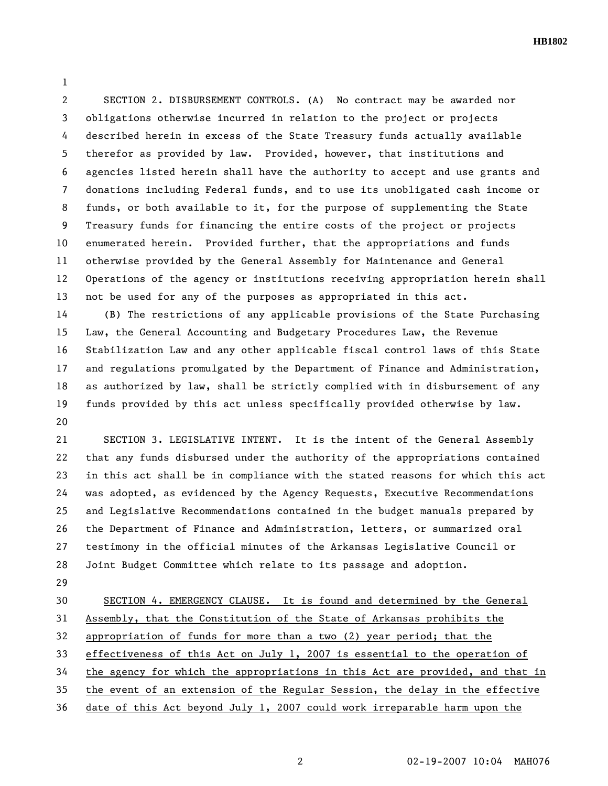**HB1802** 

1

2 SECTION 2. DISBURSEMENT CONTROLS. (A) No contract may be awarded nor 3 obligations otherwise incurred in relation to the project or projects 4 described herein in excess of the State Treasury funds actually available 5 therefor as provided by law. Provided, however, that institutions and 6 agencies listed herein shall have the authority to accept and use grants and 7 donations including Federal funds, and to use its unobligated cash income or 8 funds, or both available to it, for the purpose of supplementing the State 9 Treasury funds for financing the entire costs of the project or projects 10 enumerated herein. Provided further, that the appropriations and funds 11 otherwise provided by the General Assembly for Maintenance and General 12 Operations of the agency or institutions receiving appropriation herein shall 13 not be used for any of the purposes as appropriated in this act.

14 (B) The restrictions of any applicable provisions of the State Purchasing 15 Law, the General Accounting and Budgetary Procedures Law, the Revenue 16 Stabilization Law and any other applicable fiscal control laws of this State 17 and regulations promulgated by the Department of Finance and Administration, 18 as authorized by law, shall be strictly complied with in disbursement of any 19 funds provided by this act unless specifically provided otherwise by law. 20

21 SECTION 3. LEGISLATIVE INTENT. It is the intent of the General Assembly 22 that any funds disbursed under the authority of the appropriations contained 23 in this act shall be in compliance with the stated reasons for which this act 24 was adopted, as evidenced by the Agency Requests, Executive Recommendations 25 and Legislative Recommendations contained in the budget manuals prepared by 26 the Department of Finance and Administration, letters, or summarized oral 27 testimony in the official minutes of the Arkansas Legislative Council or 28 Joint Budget Committee which relate to its passage and adoption.

29

30 SECTION 4. EMERGENCY CLAUSE. It is found and determined by the General 31 Assembly, that the Constitution of the State of Arkansas prohibits the 32 appropriation of funds for more than a two (2) year period; that the 33 effectiveness of this Act on July 1, 2007 is essential to the operation of 34 the agency for which the appropriations in this Act are provided, and that in 35 the event of an extension of the Regular Session, the delay in the effective 36 date of this Act beyond July 1, 2007 could work irreparable harm upon the